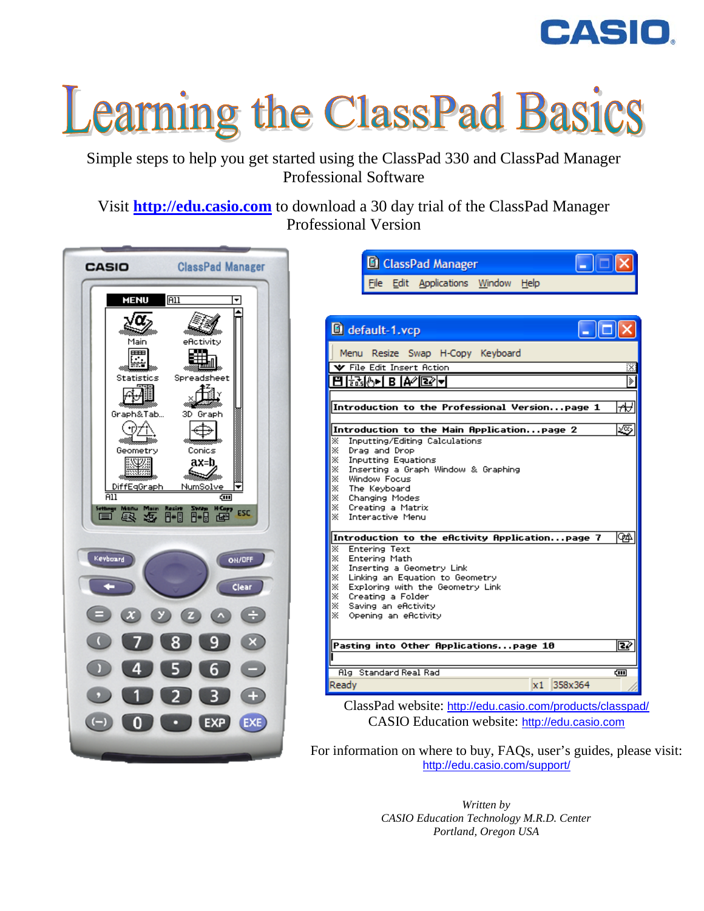

# Learning the ClassPad Basics

Simple steps to help you get started using the ClassPad 330 and ClassPad Manager Professional Software

Visit **http://edu.casio.com** to download a 30 day trial of the ClassPad Manager Professional Version



|      | default-1.vcp                    |                                                   |  |       |
|------|----------------------------------|---------------------------------------------------|--|-------|
| Menu |                                  | Resize Swap H-Copy Keyboard                       |  |       |
|      | <b>V</b> File Edit Insert Action |                                                   |  |       |
|      | 8600 B                           |                                                   |  |       |
|      |                                  |                                                   |  |       |
|      |                                  | Introduction to the Professional Versionpage 1    |  | ₩     |
|      |                                  |                                                   |  |       |
|      |                                  | Introduction to the Main Applicationpage 2        |  | 宓     |
| ⋇    |                                  | Inputting/Editing Calculations                    |  |       |
| ×    | Drag and Drop                    |                                                   |  |       |
| ×    | <b>Inputting Equations</b>       |                                                   |  |       |
| ×    |                                  | Inserting a Graph Window & Graphing               |  |       |
| ⋇    | Window Focus                     |                                                   |  |       |
| ⋇    | The Keyboard                     |                                                   |  |       |
| ×    | Changing Modes                   |                                                   |  |       |
| ⋇    | Creating a Matrix                |                                                   |  |       |
| ×    | Interactive Menu                 |                                                   |  |       |
|      |                                  | Introduction to the efictivity fipplicationpage 7 |  | ФA    |
| ×    | <b>Entering Text</b>             |                                                   |  |       |
| ⋇    | Entering Math                    |                                                   |  |       |
| ×    |                                  | Inserting a Geometry Link                         |  |       |
| ⋇    |                                  | Linking an Equation to Geometry                   |  |       |
| ×    |                                  | Exploring with the Geometry Link                  |  |       |
| ×    | Creating a Folder                |                                                   |  |       |
| ⋇    | Saving an eflotivity             |                                                   |  |       |
| ×    | Opening an eflotivity            |                                                   |  |       |
|      |                                  |                                                   |  |       |
|      |                                  | Pasting into Other Applicationspage 10            |  | œ     |
|      |                                  |                                                   |  |       |
|      |                                  |                                                   |  |       |
|      |                                  |                                                   |  |       |
|      | Alg Standard Real Rad            |                                                   |  | द्गा। |

CASIO Education website: [http://edu.casio.com](http://edu.casio.com/)

For information on where to buy, FAQs, user's guides, please visit: <http://edu.casio.com/support/>

> *Written by CASIO Education Technology M.R.D. Center Portland, Oregon USA*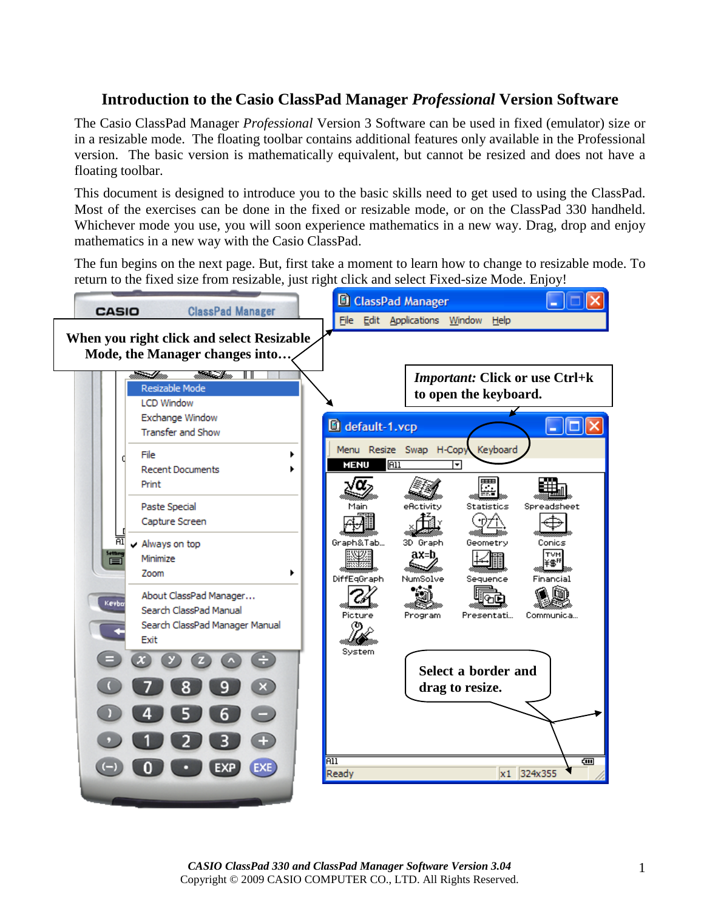#### **Introduction to the Casio ClassPad Manager** *Professional* **Version Software**

The Casio ClassPad Manager *Professional* Version 3 Software can be used in fixed (emulator) size or in a resizable mode. The floating toolbar contains additional features only available in the Professional version. The basic version is mathematically equivalent, but cannot be resized and does not have a floating toolbar.

This document is designed to introduce you to the basic skills need to get used to using the ClassPad. Most of the exercises can be done in the fixed or resizable mode, or on the ClassPad 330 handheld. Whichever mode you use, you will soon experience mathematics in a new way. Drag, drop and enjoy mathematics in a new way with the Casio ClassPad.

The fun begins on the next page. But, first take a moment to learn how to change to resizable mode. To return to the fixed size from resizable, just right click and select Fixed-size Mode. Enjoy!

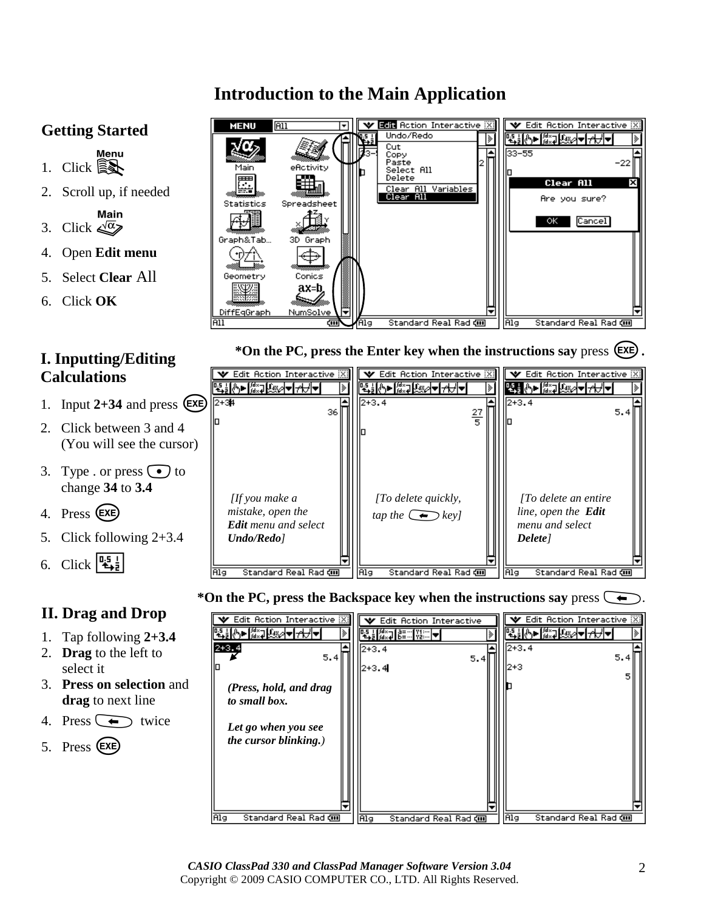# **Introduction to the Main Application**

## **Getting Started**

- $\frac{1}{2}$ . Click  $\widehat{\mathbb{R}}$
- 2. Scroll up, if needed

Main<br>3. Click  $\sqrt{\alpha}$ 

- 4. Open **Edit menu**
- 5. Select **Clear** All
- 6. Click **OK**

## **I. Inputting/Editing Calculations**

- 1. Input  $2+34$  and press  $(EXE)$
- 2. Click between 3 and 4 (You will see the cursor)
- 3. Type . or press  $\odot$  to change **34** to **3.4**
- 4. Press (EXE)
- 5. Click following 2+3.4



## **II. Drag and Drop**

- 1. Tap following **2+3.4**
- 2. **Drag** to the left to select it
- 3. **Press on selection** and **drag** to next line
- 4. Press  $\left(\begin{array}{c} \bullet \\ \bullet \end{array}\right)$  twice
- 5. Press (Exe)





#### \*On the PC, press the Backspace key when the instructions say press  $\leftarrow$ .

| Edit Action Interactive [X]<br>▸ <mark>∦⋇⋥⋭⋇⋈▼⊦<del>∕</del>ऻ</mark><br>+3.4<br>5.4             | Edit Action Interactive<br>w<br>▙▋▐▓⋥▐▒▀▒ <mark>▓</mark> ▓░▏ <del>ᢦ</del><br>$2 + 3.4$<br>5.4<br>2+3.4 | Edit Action Interactive [X]<br><del>▐</del> ᠿ► <i>▒</i> ⋥⋭⊛⋳⋖ऻ <del>⋌</del><br>$2 + 3.4$<br>5.4<br>12+3 |
|------------------------------------------------------------------------------------------------|--------------------------------------------------------------------------------------------------------|---------------------------------------------------------------------------------------------------------|
| (Press, hold, and drag<br>to small box.<br>Let go when you see<br><i>the cursor blinking.)</i> |                                                                                                        |                                                                                                         |
| Standard Real Rad di<br>Alg                                                                    | <b>Alg</b><br>Standard Real Rad ㎝                                                                      | Alg<br>Standard Real Rad di                                                                             |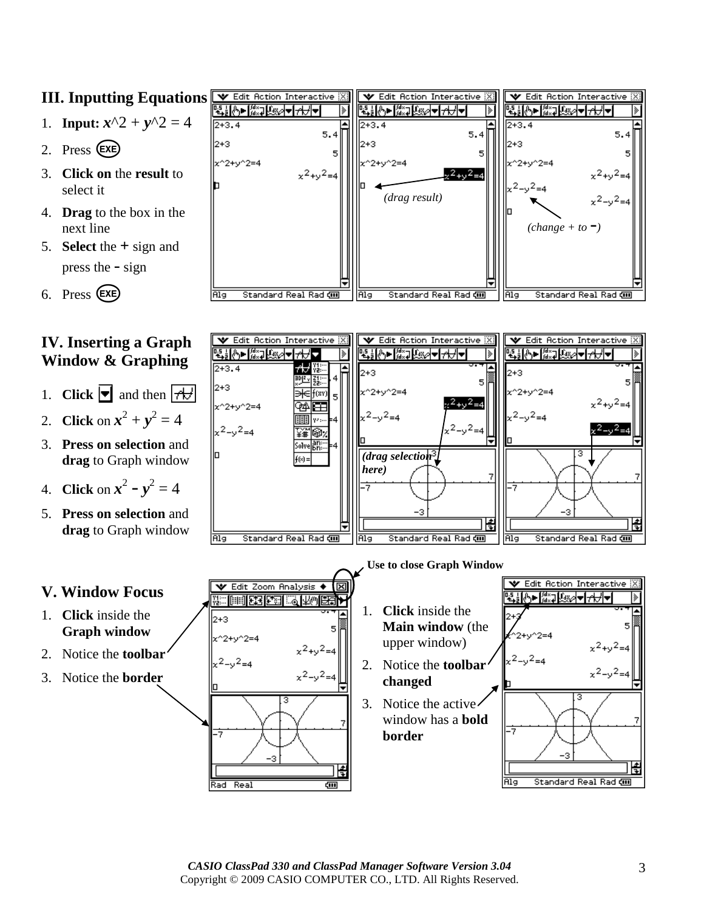## **III. Inputting Equations**

- 1. **Input:**  $x^2 + y^2 = 4$
- 2. Press (EXE)
- 3. **Click on** the **result** to select it
- 4. **Drag** to the box in the next line
- 5. **Select** the **+** sign and press the - sign

$$
6. \quad \text{Press} \quad \text{EXE}
$$

## **IV. Inserting a Graph Window & Graphing**

- 1. **Click**  $\boxed{\bullet}$  and then  $\boxed{\uparrow \downarrow \downarrow}$
- 2. **Click** on  $x^2 + y^2 = 4$
- 3. **Press on selection** and **drag** to Graph window
- 4. **Click** on  $x^2 y^2 = 4$
- 5. **Press on selection** and **drag** to Graph window





#### **V. Window Focus**

- 1. **Click** inside the **Graph window**
- 2. Notice the **toolbar**
- 3. Notice the **border**

 **Use to close Graph Window** $\sqrt{\epsilon}$  Edit Zoom Analysis  $\blacklozenge \boxed{\boxtimes}$ 第一章 医阴道 医正面的 1. **Click** inside the  $2+3$ **Main window** (the 5  $x^22+v^2=4$ upper window)  $x^2+y^2=4$ 2. Notice the **toolbar**   $x^2-y^2=4$ **changed** 3. Notice the active window has a **bold**  节 **border**  ١ŧ

Rad Real



圁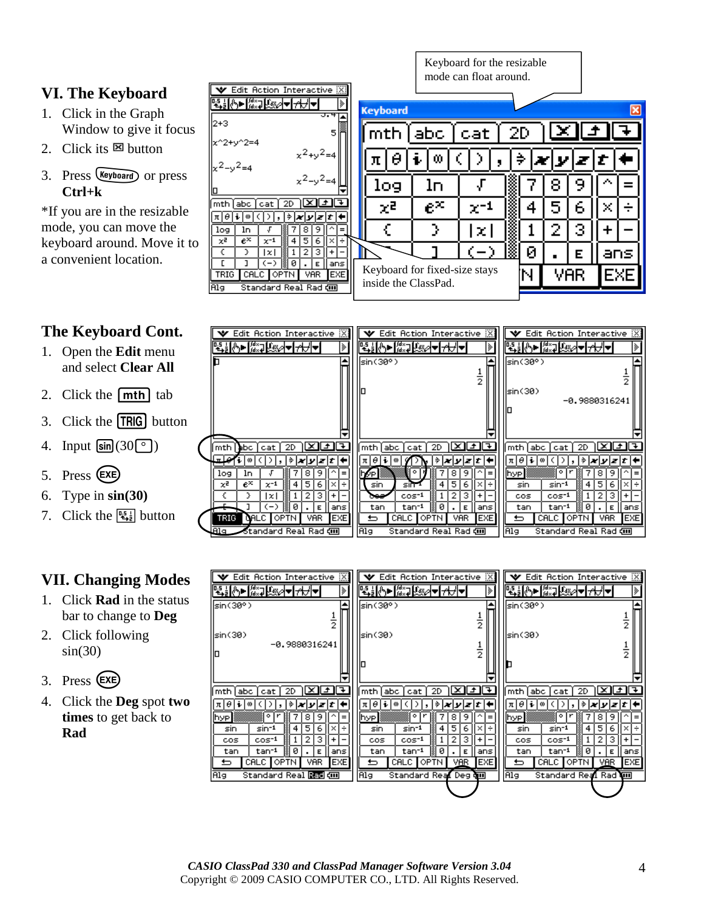#### **VI. The Keyboard**

- 1. Click in the Graph Window to give it focus
- 2. Click its  $\boxtimes$  button
- 3. Press (Keyboard) or press **Ctrl+k**

\*If you are in the resizable mode, you can move the keyboard around. Move it to a convenient location.

|  | <b>The Keyboard Cont.</b> |  |
|--|---------------------------|--|
|--|---------------------------|--|

- 1. Open the **Edit** menu and select **Clear All**
- 2. Click the  $[mth]$  tab
- 3. Click the **TRIG** button
- 4. Input  $\sin(30^\circ)$
- 5. Press (EXE)
- 6. Type in **sin(30)**
- 7. Click the  $\left[\frac{\mathbb{I}_{\frac{1}{2}}}{\mathbb{I}_{\frac{1}{2}}}\right]$  button

#### **VII. Changing Modes**

- 1. Click **Rad** in the status bar to change to **Deg**
- 2. Click following  $sin(30)$
- 3. Press (EXE)
- 4. Click the **Deg** spot **two times** to get back to **Rad**

|                                        |                                |                               |     | mode can float around. |    |   |            |   |   |     |
|----------------------------------------|--------------------------------|-------------------------------|-----|------------------------|----|---|------------|---|---|-----|
| Edit Action Interactive [X]<br>v       |                                |                               |     |                        |    |   |            |   |   |     |
| <b>、全ては、「Weap Address Address</b>      |                                | <b>Keyboard</b>               |     |                        |    |   |            |   |   | ⊠   |
| $2 + 3$                                | उ.मा                           |                               |     |                        |    |   |            |   |   |     |
| c^2+y^2=4                              | 5                              |                               | abc | cat                    | 2D |   |            |   |   |     |
|                                        | $x^2+y^2=4$                    |                               |     |                        |    |   |            |   |   |     |
| $x^2-y^2=4$                            |                                |                               | œ   |                        |    |   |            |   |   |     |
|                                        | $x^2-y^2=4$                    | log                           | lп  |                        |    |   | 8          | У |   |     |
|                                        |                                |                               |     |                        |    |   |            |   |   |     |
| mth∫abc  <br>2D<br><b>cat</b>          |                                | χē                            | e×  |                        |    |   | 5          | 6 | × |     |
| π∣θ∣<br>⇒<br>0                         | ixiy<br>Izit                   |                               |     |                        |    |   |            |   |   |     |
| log<br>ln.                             | 9.                             |                               | у   | x.                     |    |   |            | 3 |   |     |
| $e^{\times}$<br>χē<br>$\times$ -1<br>4 | 5<br>6                         |                               |     |                        |    |   |            |   |   |     |
| €<br>lxI                               | з                              |                               |     |                        |    | ø |            | Е |   | ans |
| $(-)$<br>ø<br>TRIG<br>CALC OPTN        | ans<br>E.<br><b>VAR</b><br>EXE | Keyboard for fixed-size stays |     |                        |    | N | <b>VAR</b> |   |   | EXE |
| ilg<br>Standard Real Rad com           |                                | inside the ClassPad.          |     |                        |    |   |            |   |   |     |
|                                        |                                |                               |     |                        |    |   |            |   |   |     |

Keyboard for the resizable

| ▼ Edit Action Interactive [X]                           | <b>▼</b> Edit Action Interactive ※<br>▼ Edit Action Interactive [X]               |                    |
|---------------------------------------------------------|-----------------------------------------------------------------------------------|--------------------|
| <del>▝▕▕▞</del> ▖▏▘░░▏▚░▏▞<br>I≫                        | <u>₩</u><br><u> 나나에 《서</u> ▒ 게 아내                                                 |                    |
|                                                         | A<br>sin(30°)<br>$\ket{\mathsf{sin}(30^\circ)}$                                   |                    |
|                                                         |                                                                                   | 2                  |
|                                                         | llsin(30)                                                                         |                    |
|                                                         |                                                                                   | $-0.9880316241$    |
|                                                         |                                                                                   |                    |
|                                                         |                                                                                   |                    |
|                                                         |                                                                                   |                    |
| [∓]<br>ا ± ا<br>2D.<br>mth<br>abc I<br>cat              | [∓]<br>2D<br>ا ±ا<br>×ı<br>mth   abc<br> mth abc <br>2D<br>cat.<br>cat I          | l×.<br>ا اگ        |
| ملس<br>0<br> z t 4<br>⇒<br> x y                         | πΙθ<br>⋟<br>π θ ∔ <br>⇒<br>メリノオ<br>00<br>90                                       | $ z t $ +<br>lx y  |
| 9<br>8<br>log<br>1n<br>$\equiv$                         | ۰<br>8<br>9<br>$=$<br>[hyp]<br>byp.                                               | 8<br>9             |
| $e^{\chi}$<br>5<br>χZ<br>$\times^{-1}$<br>6<br>4<br>×ı÷ | 5.<br>sin<br>6<br>sin-1<br>4<br>sin 1<br>×l÷<br>sin                               | 5<br>4<br>6        |
| з<br>lxI                                                | з<br>2<br>$cos^{-1}$<br>$cos^{-1}$<br>cos<br>ces<br>+                             | 2<br>+ l           |
| 10<br>$-$ )<br>ans<br>Е                                 | 10<br>0<br>tan <sup>-1</sup><br>tan <sup>-1</sup><br>ans<br>tan<br>Е<br>tan<br>18 | ans<br>Е           |
| TRIG<br><b>EXE</b><br><b>GALC</b> OPTN<br>VAR           | <b>EXE</b><br>CALC <b>  OPTN</b><br>VAR.<br>CALC <b>JOPTN</b><br>⋍<br>↽           | VAR.<br><b>EXE</b> |
| Standard Real Rad (III)<br>Alq.                         | Alg<br>Alg<br>Standard Real Rad ㎝<br>Standard Real Rad ㎝                          |                    |

| $\parallel \mathbf{v} \!\! \parallel$ Edit Action Interactive $\mathbb{X}$ : | ▼ Edit Action Interactive ※                                                                                      | ▼ Edit Action Interactive [X]                                                                                               |
|------------------------------------------------------------------------------|------------------------------------------------------------------------------------------------------------------|-----------------------------------------------------------------------------------------------------------------------------|
| <b>▐<sub>▚▖▎▒▖▕▚░</sub></b> ▎▅▌ <del>⋌</del> ⋊▗▏<br> ≽                       | प्र∰∿⊳∦कथि≫ जी⊀तीच                                                                                               | ▝▙ <u>▐</u> ᢢ► <i>▓</i> ⋥▐▓৶ <del>ᢦ</del> ┃ <del>⋌</del> ⋥৵                                                                 |
| $\vert$ sin(30°)                                                             | lsin(30°)                                                                                                        | sin(30°)                                                                                                                    |
|                                                                              | $\frac{1}{2}$                                                                                                    |                                                                                                                             |
| [sin(30)                                                                     | sin(30)                                                                                                          | sin(30)                                                                                                                     |
| $-0.9880316241$                                                              |                                                                                                                  |                                                                                                                             |
| ⊪                                                                            | $\frac{1}{2}$                                                                                                    | ぅ                                                                                                                           |
|                                                                              |                                                                                                                  |                                                                                                                             |
|                                                                              |                                                                                                                  |                                                                                                                             |
| ⊡<br>l×l<br>L±∥<br>abc.<br>2D<br>lmth.<br>cat                                | ाम<br>l×l<br>2D<br>L± I<br>mth<br> abc<br>cat                                                                    | l± ∥∓<br>ו×ו<br>2D<br>mth<br>abc<br>cat                                                                                     |
| z t <br>πΙθ<br>100<br>⇒<br>ixiy                                              | πΙθ<br>÷Ι<br>$\hat{z}$ $\mathbf{x}$ $\mathbf{y}$ $\mathbf{z}$ $\mathbf{t}$ $\mathbf{t}$<br>$\boldsymbol{\omega}$ | π θ<br>$\hat{z}$ $\left  \mathbf{x} \right $ $\mathbf{y}$ $\left  \mathbf{z} \right $ $t$ $\left  \mathbf{x} \right $<br>00 |
| 8<br><b>Ihyp</b><br>9<br>$=$                                                 | ۰<br>9<br>8<br>hyp.<br>$=$                                                                                       | ۰<br>81<br>9.<br> hyp                                                                                                       |
| 5<br>6<br>$sin-1$<br>4<br>×I<br>÷<br>sin                                     | 5<br>6.<br>sin-1<br>4<br>$\times$<br>÷<br>sin                                                                    | 5.<br>6.<br>$sin-1$<br>4<br>$x +$<br>sin                                                                                    |
| з<br>$cos^{-1}$<br>2<br>$+1$<br>cos                                          | з<br>2<br>$cos^{-1}$<br>$+$<br>cos                                                                               | з<br>21<br>$cos^{-1}$<br>cos<br>÷                                                                                           |
| tan <sup>-1</sup><br>ø<br>tan<br>ans<br>Е                                    | ø<br>tan <sup>-1</sup><br>ans<br>tan<br>Е                                                                        | 0<br>tan <sup>-1</sup><br>tan<br>ans<br>Е                                                                                   |
| EXE<br>CALC OPTN<br><b>VAR</b><br>⋍                                          | VBR<br>CALC OPTN<br><b>EXE</b><br>ь                                                                              | CALC  <br>OPTN<br>VAR<br><b>EXE</b><br>⋍                                                                                    |
| Standard Real <b>Red cm</b><br>Alg                                           | Alg<br>Standard Real Deg on                                                                                      | <b>Alg</b><br>Standard Real Rad III                                                                                         |
|                                                                              |                                                                                                                  |                                                                                                                             |
|                                                                              |                                                                                                                  |                                                                                                                             |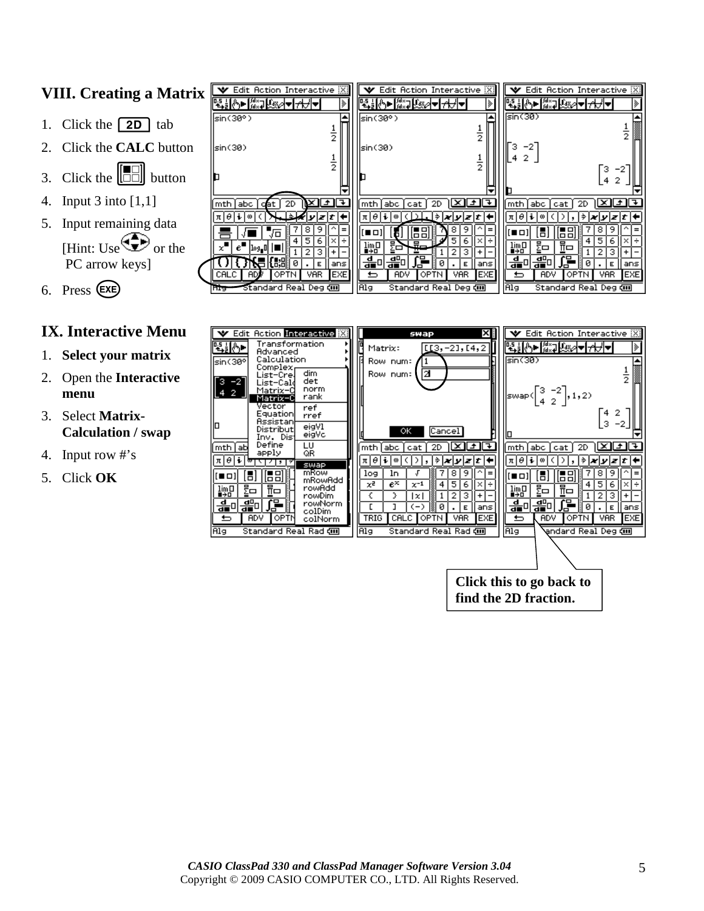## **VIII. Creating a Matrix**

- 1. Click the  $\boxed{2D}$  tab
- 2. Click the **CALC** button
- 3. Click the  $\begin{bmatrix} \boxed{\phantom{0}} \\ \boxed{\phantom{0}} \end{bmatrix}$  button
- 4. Input 3 into [1,1]
- 5. Input remaining data [Hint: Use  $\bigoplus$  or the PC arrow keys]
- 6. Press (EXE)

#### **IX. Interactive Menu**

- 1. **Select your matrix**
- 2. Open the **Interactive menu**
- 3. Select **Matrix-Calculation / swap**
- 4. Input row #'s
- 5. Click **OK**

| $\mathbf X$ | $\blacktriangledown$ Edit Action Interactive $\mathbb{X}$<br><u>₩₩₩₩</u> ₩₩₩₩<br>⋟    | Edit Action Interactive [X]<br>v<br>v<br><u>╶┼┝┝┢╣┪╣┪╣┪┩╬</u>                                                                        | Edit Action Interactive [X]                               |
|-------------|---------------------------------------------------------------------------------------|--------------------------------------------------------------------------------------------------------------------------------------|-----------------------------------------------------------|
|             | lsin(30°)<br>ぅ                                                                        | (sin(30<br>sin(30°)                                                                                                                  |                                                           |
|             | sin(30)<br>$\frac{1}{2}$                                                              | з<br>$-2$<br>(sin(30<br>2<br>5                                                                                                       | Γз.<br>-2                                                 |
|             | ∓<br>2D.<br>abc.<br>۰±۰<br>mth<br>dat                                                 | ∓<br>Ĵ.<br>labc<br>l mth.<br>mth<br>abc<br>cat<br>cat                                                                                | 42<br>2D                                                  |
|             | θ<br>il®<br>リコナ<br>8<br>9<br>$=$<br>Jo                                                | ᡷ│ <i>★</i> │ <i>y│z</i>   <i>t</i>   ←<br>πΙθ<br>θ<br>100<br>π<br>90<br>9<br>8<br>[68]<br>╻ᆷ<br>œ<br>∎о<br>Б<br>lo o                | ⇛<br> X Y Z T<br>8<br>9                                   |
|             | 5<br>6<br>x"<br>$e^-$<br>[109.0]<br>з<br>+<br> {53  <br>ø<br>ans<br>Е                 | 5<br>6<br>×<br>료.<br>量<br>P<br>Σ⊡<br>lim∏<br>∎÷⊡<br>$\lim_{n\to\infty}$<br>в<br>з<br>G<br>읇<br>쁣<br>பி∰ட்<br>읇<br>ø<br>₫<br>ans<br>Е | 5<br>6<br>$\times$ 1 ÷<br>з<br>$\ddot{}$<br>ø<br>ans<br>Е |
|             | CALC.<br><b>VAR</b><br>EXE<br><b>AD</b><br>OPTN<br>Standard Real Deg cm<br><b>HIG</b> | VAR.<br>EXE<br>ADV<br>OPTN<br>ADV<br>⋍<br>⋍<br>Alg<br>Alg<br>Standard Real Deg ㎝                                                     | <b>EXE</b><br>OPTN  <br>VAR<br>Standard Real Deg cm       |

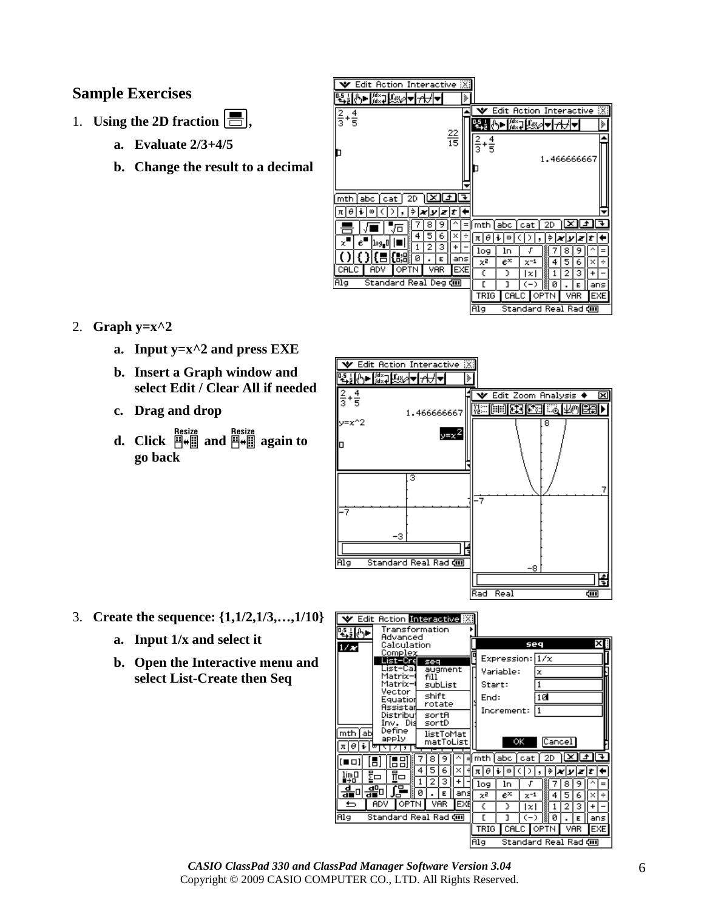#### **Sample Exercises**

- 1. **Using the 2D fraction**  $\boxed{\blacksquare}$ ,
	- **a. Evaluate 2/3+4/5**
	- **b. Change the result to a decimal**

| Edit Action Interactive [X]                                                                                                                                                |                                                                                                                                                                                                                                                                                                           |
|----------------------------------------------------------------------------------------------------------------------------------------------------------------------------|-----------------------------------------------------------------------------------------------------------------------------------------------------------------------------------------------------------------------------------------------------------------------------------------------------------|
| ▔ <mark>▓</mark> ▔▏▓<br> ≽                                                                                                                                                 |                                                                                                                                                                                                                                                                                                           |
| $\frac{4}{5}$<br>$\frac{2}{3}$<br>$\frac{22}{15}$                                                                                                                          | B<br>Edit Action Interactive<br>⊕∎ ⊯∝⊒ प्रश<br>⋟<br>Ι₩<br>$\frac{2}{3}$<br>$+\frac{4}{5}$<br>1.466666667                                                                                                                                                                                                  |
| 2D<br>abc<br>mth<br>cat<br>i<br>lθ<br>⇒<br>l œ<br>zt<br>עוא<br>π                                                                                                           |                                                                                                                                                                                                                                                                                                           |
| 8<br>9<br>¶∕ō<br>5<br>6<br>4<br>×<br>$\epsilon'$<br> 1օց_0 <br>x<br>2<br>з<br>+<br>化别<br>ø<br>ans<br>Е<br>EXE<br>CALC<br>OPTN<br>VAR<br>ADV<br>Standard Real Deg dm<br>Alg | 2D<br>mth<br>abc<br>cat<br>$\ddot{\textbf{t}}$<br>⇒<br>πΙθ<br>œ<br>zıt<br>v<br>×<br>ln<br>log<br>8<br>J<br>7<br>9<br>=<br>$e^\times$<br>χZ<br>5<br>4<br>6<br>÷<br>$\times^{-1}$<br>×<br>€<br>У<br>2<br>з<br>+<br>Ι×Ι<br>г<br>ı<br>ø<br>〈一〉<br>ıs<br>ans<br>E<br>OPTN<br>TRIG<br>CALC<br>VAR<br><b>EXE</b> |
|                                                                                                                                                                            | Standard Real Rad <b>எ</b><br>Alg                                                                                                                                                                                                                                                                         |

#### 2. **Graph y=x^2**

- **a. Input y=x^2 and press EXE**
- **b. Insert a Graph window and select Edit / Clear All if needed**
- **c. Drag and drop**
- **d. Click**  $\frac{\text{Resize}}{\mathbb{H} \bullet \mathbb{H}}$  and  $\frac{\mathbb{H} \bullet \mathbb{H}}{\mathbb{H}}$  again to **go back**



- 3. **Create the sequence: {1,1/2,1/3,…,1/10}**
	- **a. Input 1/x and select it**
	- **b. Open the Interactive menu and select List-Create then Seq**



*CASIO ClassPad 330 and ClassPad Manager Software Version 3.04* Copyright © 2009 CASIO COMPUTER CO., LTD. All Rights Reserved.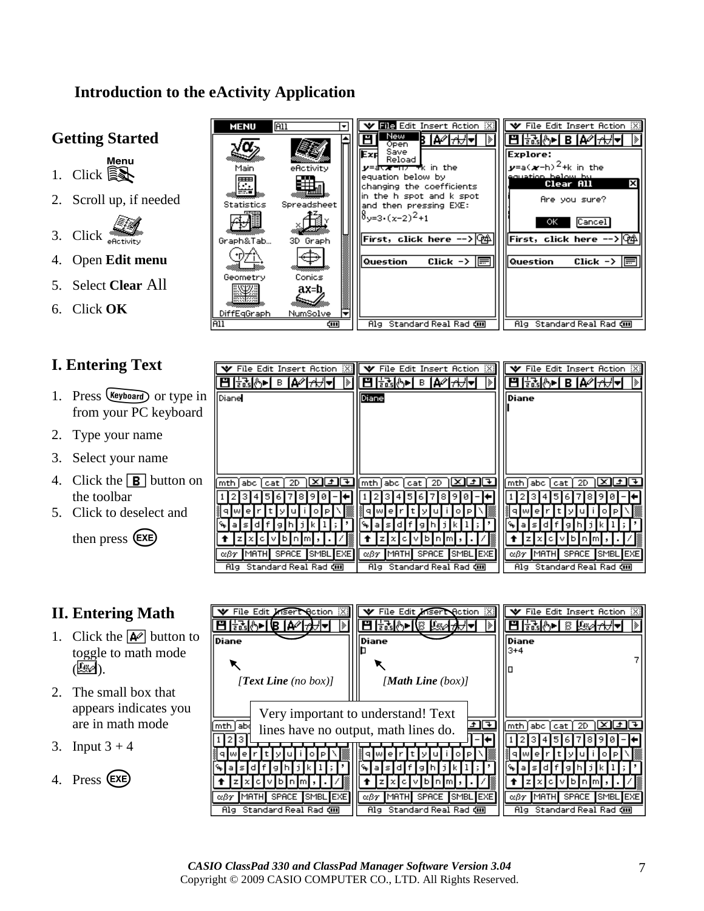## **Introduction to the eActivity Application**

## **Getting Started**

- $1.$  Click  $\widehat{\mathbb{R}}$
- 2. Scroll up, if needed
- 3. Click  $\sum_{\text{eRctivity}}$
- 4. Open **Edit menu**
- 5. Select **Clear** All
- 6. Click **OK**

## **I. Entering Text**

- 1. Press (Keyboard) or type in from your PC keyboard
- 2. Type your name
- 3. Select your name
- 4. Click the  $\boxed{\mathbf{B}}$  button on the toolbar
- 5. Click to deselect and

then press (EXE)

### **II. Entering Math**

- 1. Click the  $\boxed{\blacktriangle}$  button to toggle to math mode  $(\mathbb{R})$ .
- 2. The small box that appears indicates you are in math mode
- 3. Input  $3 + 4$
- 4. Press (EXE)

| <b>MENU</b>                                                         | <b>All</b><br>▼                                                            | File Edit Insert Action [X]                                                                                                                                                                                                                                                                                                                   | <b>V</b> File Edit Insert Action [X]                                                                                                                                                                                   |
|---------------------------------------------------------------------|----------------------------------------------------------------------------|-----------------------------------------------------------------------------------------------------------------------------------------------------------------------------------------------------------------------------------------------------------------------------------------------------------------------------------------------|------------------------------------------------------------------------------------------------------------------------------------------------------------------------------------------------------------------------|
| Main<br>Ę,<br><b>Statistics</b><br>Graph<br>Geometry<br>DiffEqGraph | eflotivity<br>Spreadsheet<br>3D Graph<br>Conics<br>ax=b.<br>NumSolve<br> ₩ | New<br>18  A⊘  <del>∧</del><br>Open<br>Save<br>Exr<br>Reload<br>$\bm y$ =a <del>væ=n<math>\bm y</math> w</del> k in the<br>equation below by<br>changing the coefficients<br>in the h spot and k spot<br>and then pressing EXE:<br>$\delta$ v=3•(x−2) <sup>2</sup> +1<br> First,click here --> (沌<br>Question<br>Click $\rightarrow$ $\equiv$ | Explore:<br>$\mathbf{y}$ =a( $\mathbf{x}$ -h) <sup>2</sup> +k in the<br>equation below by<br>X<br>Clear All<br>Are you sure?<br>ок<br>Cancel<br> First,click here --> Ф4<br>Question<br>Click $\rightarrow \mathbb{R}$ |
| All                                                                 | din)                                                                       | Standard Real Rad 如<br>Alg                                                                                                                                                                                                                                                                                                                    | Standard Real Rad com<br>Alg                                                                                                                                                                                           |

| $\blacktriangledown$ File Edit Insert Action $\boxtimes$<br> ≽ | 図<br>$\blacktriangleright$ File Edit Insert Action<br>[ <del>1</del> 75]⊙►   В<br> A∕'  <del>∆</del> ∄▼<br>∣≽ | File Edit Insert Action [X]<br>v<br>∃ਰਨ\ ≻  B  A∕  <del>⊿</del> |
|----------------------------------------------------------------|---------------------------------------------------------------------------------------------------------------|-----------------------------------------------------------------|
| Diane                                                          | Diane                                                                                                         | Diane                                                           |
|                                                                |                                                                                                               |                                                                 |
|                                                                |                                                                                                               |                                                                 |
|                                                                |                                                                                                               |                                                                 |
| ⊻া∓া≭<br>2D<br> abc cat <br>mth                                | [7⊧<br>ا≫ا<br>abc<br>2D<br>mth  <br>cat                                                                       | 2D<br>≃<br>  mth<br>[abc   cat                                  |
| 8<br>9<br>ø<br>ь                                               | ø<br>8<br>ь                                                                                                   | 8<br>9<br>ø<br>ь                                                |
| е<br>۰                                                         |                                                                                                               | е<br>۰                                                          |
| s.<br>α<br>9                                                   | s.<br>9<br>a<br>a                                                                                             | s.<br>9.<br>o<br>а                                              |
| ь.<br>n.<br>l m                                                | ы                                                                                                             | ы<br>n<br>Im                                                    |
| <b>SPACE</b><br>MATH<br>SMBL EXE<br>αβγ                        | <b>SPACE</b><br>MATH<br>SMBL <sup>1</sup><br><b>EXE</b><br>αβγ                                                | <b>SPACE</b><br>MATH<br>SMBL EXE<br>αβγ                         |
| Standard Real Rad cm<br>Alg                                    | Standard Real Rad cm<br>Alg                                                                                   | Alg Standard Real Rad din                                       |

| File Edit <i>Insert</i> Rotion XI        | File Edit <i>Insert</i> Action XIII<br>v       | $\blacktriangleright$ File Edit Insert Action $\mathbb{X}$ |
|------------------------------------------|------------------------------------------------|------------------------------------------------------------|
| 起め191A4★                                 | ₩₩₩ ▒╟◆₩₹∥⊞                                    | 나나의 ※ [◀小 : 비 모                                            |
| Diane                                    | Diane                                          | Diane<br>3+4                                               |
|                                          |                                                |                                                            |
| [Text Line (no box)]                     | [Math Line $(box)$ ]                           |                                                            |
| Very important to understand! Text       |                                                |                                                            |
| abd<br>mth                               | lines have no output, math lines do.           | labo l<br>lmth<br>2D<br>cat                                |
|                                          |                                                | 9<br>ь                                                     |
| е                                        |                                                | е                                                          |
| ы                                        | lb In                                          | д<br>ы                                                     |
| <b>SPACE</b><br>SMBL EXE<br>MATH.<br>αßγ | <b>SPACE</b><br><b>SMBLIEXE</b><br>MATH<br>αβγ | <b>SPACE</b><br>MATH<br>SMBL<br>. IEXE<br>αßγ              |
| Standard Real Rad di<br>Alg              | Standard Real Rad ㎝<br>Alg                     | Standard Real Rad com<br>Alg                               |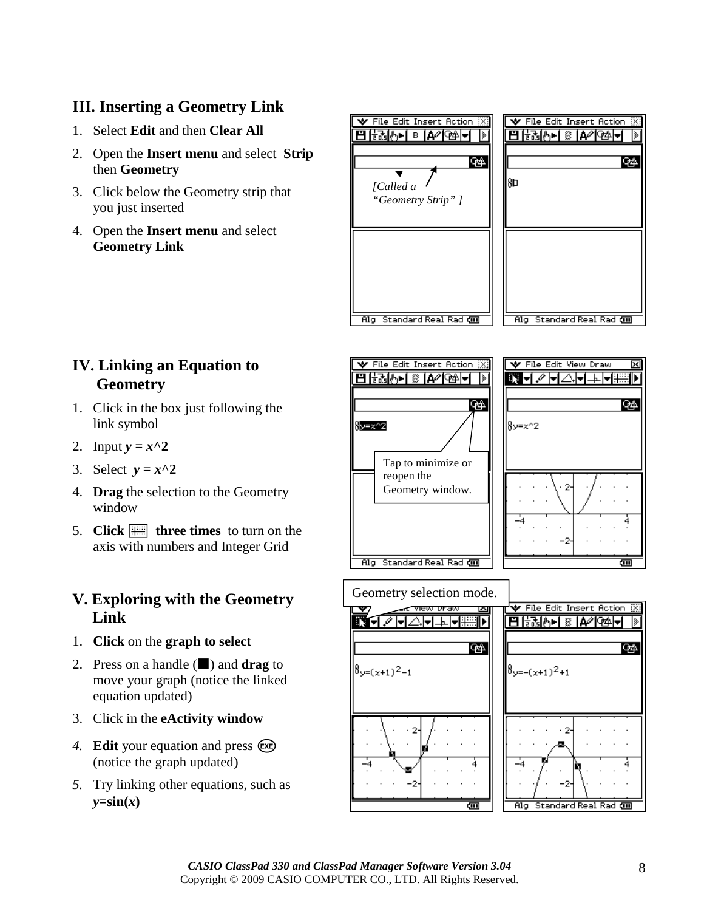## **III. Inserting a Geometry Link**

- 1. Select **Edit** and then **Clear All**
- 2. Open the **Insert menu** and select **Strip** then **Geometry**
- 3. Click below the Geometry strip that you just inserted
- 4. Open the **Insert menu** and select **Geometry Link**



## **IV. Linking an Equation to Geometry**

- 1. Click in the box just following the link symbol
- 2. Input  $y = x^2$
- 3. Select  $y = x^2$
- 4. **Drag** the selection to the Geometry window
- 5. **Click**  $\equiv$  **three times** to turn on the axis with numbers and Integer Grid

### **V. Exploring with the Geometry Link**

- 1. **Click** on the **graph to select**
- 2. Press on a handle  $(\blacksquare)$  and **drag** to move your graph (notice the linked equation updated)
- 3. Click in the **eActivity window**
- 4. **Edit** your equation and press  $(\mathbf{F}\mathbf{E})$ (notice the graph updated)
- *5.* Try linking other equations, such as  $y = sin(x)$







**GAL**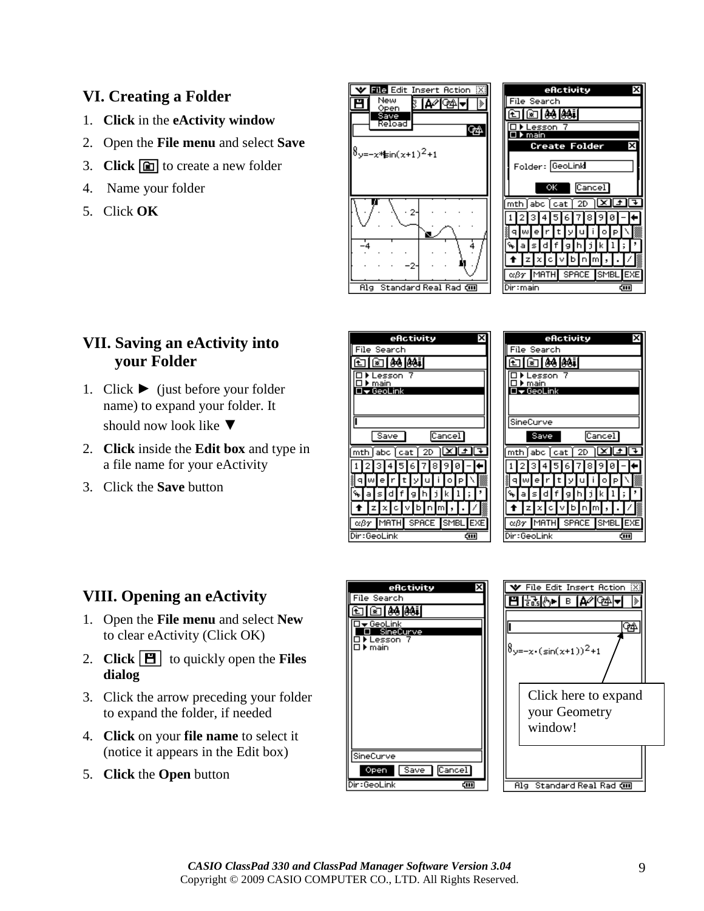## **VI. Creating a Folder**

- 1. **Click** in the **eActivity window**
- 2. Open the **File menu** and select **Save**
- 3. **Click in** to create a new folder
- 4. Name your folder
- 5. Click **OK**





#### **VII. Saving an eActivity into your Folder**

- 1. Click  $\blacktriangleright$  (just before your folder name) to expand your folder. It should now look like  $\nabla$
- 2. **Click** inside the **Edit box** and type in a file name for your eActivity
- 3. Click the **Save** button

| efictivity<br>File Search<br> agi<br>ê8<br>esson<br>main<br>I <del>v</del> GeoLink                                        | File                          |
|---------------------------------------------------------------------------------------------------------------------------|-------------------------------|
| Cancel<br>Save<br>abc ∫cati<br>mth<br>2D<br>6<br>w<br>a<br>D<br>z<br>MATH SPACE SMBL<br>EXE<br>αβγ<br>Dir:GeoLink<br>द्या | Sine<br>mth<br>и<br>αβγ<br>Gę |

| efictivity                                                                                                                                                                                                                                                                                                                                                                           |  |
|--------------------------------------------------------------------------------------------------------------------------------------------------------------------------------------------------------------------------------------------------------------------------------------------------------------------------------------------------------------------------------------|--|
| File Search                                                                                                                                                                                                                                                                                                                                                                          |  |
| ि≊ । ୫୫ ।୫୫∔।                                                                                                                                                                                                                                                                                                                                                                        |  |
| .esson                                                                                                                                                                                                                                                                                                                                                                               |  |
| main<br>GeoLink                                                                                                                                                                                                                                                                                                                                                                      |  |
|                                                                                                                                                                                                                                                                                                                                                                                      |  |
|                                                                                                                                                                                                                                                                                                                                                                                      |  |
| SineCurve                                                                                                                                                                                                                                                                                                                                                                            |  |
| Cancel<br>Save                                                                                                                                                                                                                                                                                                                                                                       |  |
| $\boxed{\text{mth}}$ abo $\boxed{\text{cat}}$ 2D $\boxed{\text{X}}$ $\boxed{\text{LT}}$                                                                                                                                                                                                                                                                                              |  |
|                                                                                                                                                                                                                                                                                                                                                                                      |  |
| गयबागबाबाबाबा-                                                                                                                                                                                                                                                                                                                                                                       |  |
| $\overline{\mathbb{R}}$ alwle $\overline{\mathbb{R}}$ le $\overline{\mathbb{R}}$ le $\overline{\mathbb{R}}$ le $\overline{\mathbb{R}}$                                                                                                                                                                                                                                               |  |
| $\sqrt{2}$ as definitivity                                                                                                                                                                                                                                                                                                                                                           |  |
|                                                                                                                                                                                                                                                                                                                                                                                      |  |
| $\overline{f}$ $\overline{f}$ $\overline{z}$ $\overline{z}$ $\overline{f}$ $\overline{c}$ $\overline{f}$ $\overline{v}$ $\overline{f}$ $\overline{f}$ $\overline{f}$ $\overline{f}$ $\overline{f}$ $\overline{f}$ $\overline{f}$ $\overline{f}$ $\overline{f}$ $\overline{f}$ $\overline{f}$ $\overline{f}$ $\overline{f}$ $\overline{f}$ $\overline{f}$ $\overline{f}$ $\overline{$ |  |
| αβγ MATH SPACE SMBL EXE                                                                                                                                                                                                                                                                                                                                                              |  |
| Dir:GeoLink                                                                                                                                                                                                                                                                                                                                                                          |  |

### **VIII. Opening an eActivity**

- 1. Open the **File menu** and select **New**  to clear eActivity (Click OK)
- 2. **Click**  $[\mathbf{H}]$  to quickly open the **Files dialog**
- 3. Click the arrow preceding your folder to expand the folder, if needed
- 4. **Click** on your **file name** to select it (notice it appears in the Edit box)
- 5. **Click** the **Open** button